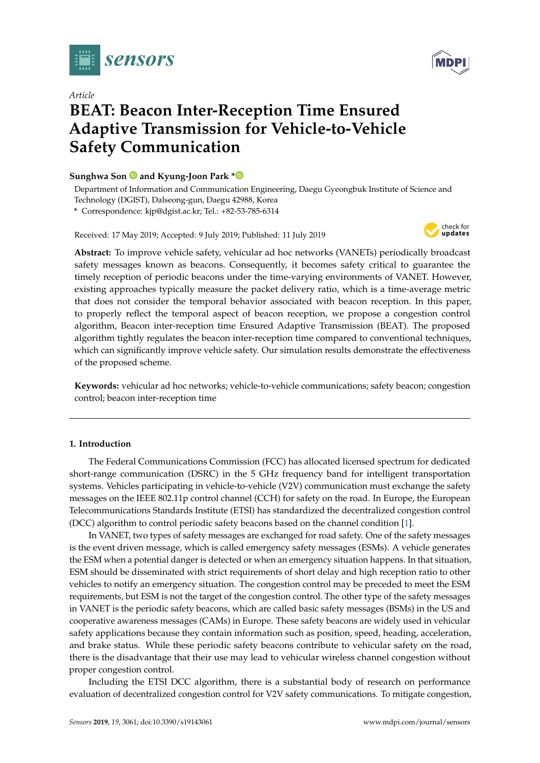



# *Article* **BEAT: Beacon Inter-Reception Time Ensured Adaptive Transmission for Vehicle-to-Vehicle Safety Communication**

## **Sunghwa Son and Kyung-Joon Park [\\*](https://orcid.org/0000-0003-4807-6461)**

Department of Information and Communication Engineering, Daegu Gyeongbuk Institute of Science and Technology (DGIST), Dalseong-gun, Daegu 42988, Korea

**\*** Correspondence: kjp@dgist.ac.kr; Tel.: +82-53-785-6314

Received: 17 May 2019; Accepted: 9 July 2019; Published: 11 July 2019



**Abstract:** To improve vehicle safety, vehicular ad hoc networks (VANETs) periodically broadcast safety messages known as beacons. Consequently, it becomes safety critical to guarantee the timely reception of periodic beacons under the time-varying environments of VANET. However, existing approaches typically measure the packet delivery ratio, which is a time-average metric that does not consider the temporal behavior associated with beacon reception. In this paper, to properly reflect the temporal aspect of beacon reception, we propose a congestion control algorithm, Beacon inter-reception time Ensured Adaptive Transmission (BEAT). The proposed algorithm tightly regulates the beacon inter-reception time compared to conventional techniques, which can significantly improve vehicle safety. Our simulation results demonstrate the effectiveness of the proposed scheme.

**Keywords:** vehicular ad hoc networks; vehicle-to-vehicle communications; safety beacon; congestion control; beacon inter-reception time

## **1. Introduction**

The Federal Communications Commission (FCC) has allocated licensed spectrum for dedicated short-range communication (DSRC) in the 5 GHz frequency band for intelligent transportation systems. Vehicles participating in vehicle-to-vehicle (V2V) communication must exchange the safety messages on the IEEE 802.11p control channel (CCH) for safety on the road. In Europe, the European Telecommunications Standards Institute (ETSI) has standardized the decentralized congestion control (DCC) algorithm to control periodic safety beacons based on the channel condition [\[1\]](#page-9-0).

In VANET, two types of safety messages are exchanged for road safety. One of the safety messages is the event driven message, which is called emergency safety messages (ESMs). A vehicle generates the ESM when a potential danger is detected or when an emergency situation happens. In that situation, ESM should be disseminated with strict requirements of short delay and high reception ratio to other vehicles to notify an emergency situation. The congestion control may be preceded to meet the ESM requirements, but ESM is not the target of the congestion control. The other type of the safety messages in VANET is the periodic safety beacons, which are called basic safety messages (BSMs) in the US and cooperative awareness messages (CAMs) in Europe. These safety beacons are widely used in vehicular safety applications because they contain information such as position, speed, heading, acceleration, and brake status. While these periodic safety beacons contribute to vehicular safety on the road, there is the disadvantage that their use may lead to vehicular wireless channel congestion without proper congestion control.

Including the ETSI DCC algorithm, there is a substantial body of research on performance evaluation of decentralized congestion control for V2V safety communications. To mitigate congestion,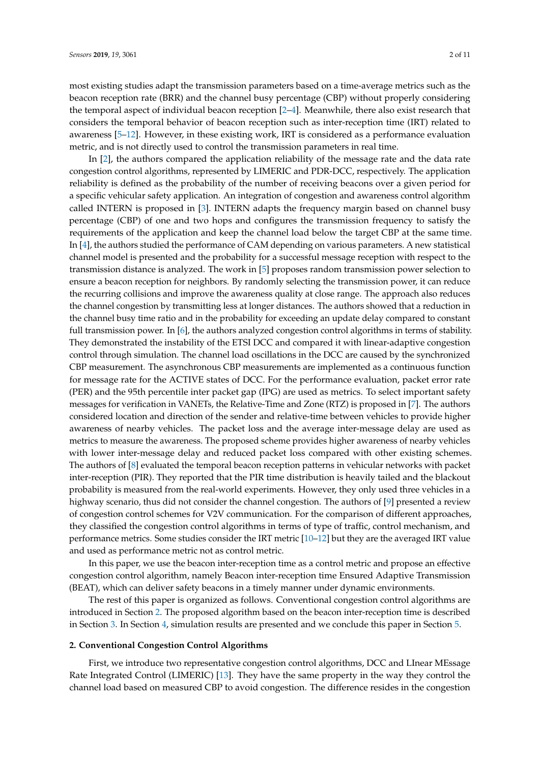most existing studies adapt the transmission parameters based on a time-average metrics such as the beacon reception rate (BRR) and the channel busy percentage (CBP) without properly considering the temporal aspect of individual beacon reception [\[2](#page-9-1)[–4\]](#page-9-2). Meanwhile, there also exist research that considers the temporal behavior of beacon reception such as inter-reception time (IRT) related to awareness [\[5](#page-10-0)[–12\]](#page-10-1). However, in these existing work, IRT is considered as a performance evaluation metric, and is not directly used to control the transmission parameters in real time.

In [\[2\]](#page-9-1), the authors compared the application reliability of the message rate and the data rate congestion control algorithms, represented by LIMERIC and PDR-DCC, respectively. The application reliability is defined as the probability of the number of receiving beacons over a given period for a specific vehicular safety application. An integration of congestion and awareness control algorithm called INTERN is proposed in [\[3\]](#page-9-3). INTERN adapts the frequency margin based on channel busy percentage (CBP) of one and two hops and configures the transmission frequency to satisfy the requirements of the application and keep the channel load below the target CBP at the same time. In [\[4\]](#page-9-2), the authors studied the performance of CAM depending on various parameters. A new statistical channel model is presented and the probability for a successful message reception with respect to the transmission distance is analyzed. The work in [\[5\]](#page-10-0) proposes random transmission power selection to ensure a beacon reception for neighbors. By randomly selecting the transmission power, it can reduce the recurring collisions and improve the awareness quality at close range. The approach also reduces the channel congestion by transmitting less at longer distances. The authors showed that a reduction in the channel busy time ratio and in the probability for exceeding an update delay compared to constant full transmission power. In [\[6\]](#page-10-2), the authors analyzed congestion control algorithms in terms of stability. They demonstrated the instability of the ETSI DCC and compared it with linear-adaptive congestion control through simulation. The channel load oscillations in the DCC are caused by the synchronized CBP measurement. The asynchronous CBP measurements are implemented as a continuous function for message rate for the ACTIVE states of DCC. For the performance evaluation, packet error rate (PER) and the 95th percentile inter packet gap (IPG) are used as metrics. To select important safety messages for verification in VANETs, the Relative-Time and Zone (RTZ) is proposed in [\[7\]](#page-10-3). The authors considered location and direction of the sender and relative-time between vehicles to provide higher awareness of nearby vehicles. The packet loss and the average inter-message delay are used as metrics to measure the awareness. The proposed scheme provides higher awareness of nearby vehicles with lower inter-message delay and reduced packet loss compared with other existing schemes. The authors of [\[8\]](#page-10-4) evaluated the temporal beacon reception patterns in vehicular networks with packet inter-reception (PIR). They reported that the PIR time distribution is heavily tailed and the blackout probability is measured from the real-world experiments. However, they only used three vehicles in a highway scenario, thus did not consider the channel congestion. The authors of [\[9\]](#page-10-5) presented a review of congestion control schemes for V2V communication. For the comparison of different approaches, they classified the congestion control algorithms in terms of type of traffic, control mechanism, and performance metrics. Some studies consider the IRT metric [\[10](#page-10-6)[–12\]](#page-10-1) but they are the averaged IRT value and used as performance metric not as control metric.

In this paper, we use the beacon inter-reception time as a control metric and propose an effective congestion control algorithm, namely Beacon inter-reception time Ensured Adaptive Transmission (BEAT), which can deliver safety beacons in a timely manner under dynamic environments.

The rest of this paper is organized as follows. Conventional congestion control algorithms are introduced in Section [2.](#page-1-0) The proposed algorithm based on the beacon inter-reception time is described in Section [3.](#page-3-0) In Section [4,](#page-4-0) simulation results are presented and we conclude this paper in Section [5.](#page-9-4)

#### <span id="page-1-0"></span>**2. Conventional Congestion Control Algorithms**

First, we introduce two representative congestion control algorithms, DCC and LInear MEssage Rate Integrated Control (LIMERIC) [\[13\]](#page-10-7). They have the same property in the way they control the channel load based on measured CBP to avoid congestion. The difference resides in the congestion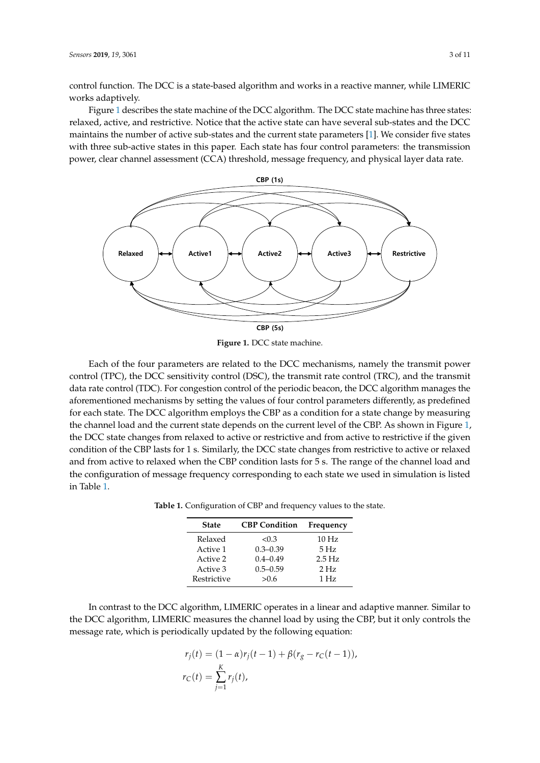control function. The DCC is a state-based algorithm and works in a reactive manner, while LIMERIC works adaptively.

Figure [1](#page-2-0) describes the state machine of the DCC algorithm. The DCC state machine has three states: relaxed, active, and restrictive. Notice that the active state can have several sub-states and the DCC maintains the number of active sub-states and the current state parameters [\[1\]](#page-9-0). We consider five states with three sub-active states in this paper. Each state has four control parameters: the transmission power, clear channel assessment (CCA) threshold, message frequency, and physical layer data rate.

<span id="page-2-0"></span>

**Figure 1.** DCC state machine.

Each of the four parameters are related to the DCC mechanisms, namely the transmit power control (TPC), the DCC sensitivity control (DSC), the transmit rate control (TRC), and the transmit data rate control (TDC). For congestion control of the periodic beacon, the DCC algorithm manages the aforementioned mechanisms by setting the values of four control parameters differently, as predefined for each state. The DCC algorithm employs the CBP as a condition for a state change by measuring the channel load and the current state depends on the current level of the CBP. As shown in Figure [1,](#page-2-0) the DCC state changes from relaxed to active or restrictive and from active to restrictive if the given condition of the CBP lasts for 1 s. Similarly, the DCC state changes from restrictive to active or relaxed and from active to relaxed when the CBP condition lasts for 5 s. The range of the channel load and the configuration of message frequency corresponding to each state we used in simulation is listed in Table [1.](#page-2-1)

<span id="page-2-1"></span>**Table 1.** Configuration of CBP and frequency values to the state.

| <b>State</b> | <b>CBP Condition</b> | Frequency        |
|--------------|----------------------|------------------|
| Relaxed      | < 0.3                | 10 <sub>Hz</sub> |
| Active 1     | $0.3 - 0.39$         | 5 <sub>Hz</sub>  |
| Active 2     | $0.4 - 0.49$         | $2.5$ Hz         |
| Active 3     | $0.5 - 0.59$         | $2$ Hz           |
| Restrictive  | > 0.6                | 1Hz              |

In contrast to the DCC algorithm, LIMERIC operates in a linear and adaptive manner. Similar to the DCC algorithm, LIMERIC measures the channel load by using the CBP, but it only controls the message rate, which is periodically updated by the following equation:

$$
r_j(t) = (1 - \alpha)r_j(t - 1) + \beta(r_g - r_C(t - 1)),
$$
  

$$
r_C(t) = \sum_{j=1}^K r_j(t),
$$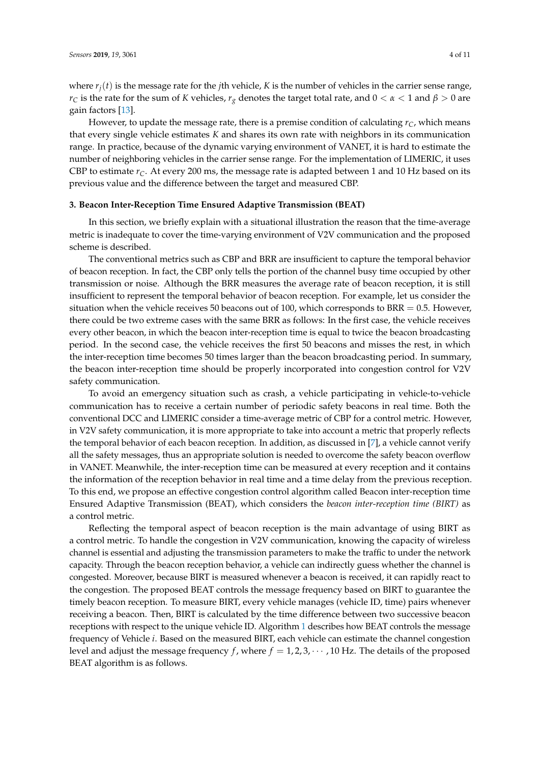where  $r_j(t)$  is the message rate for the *j*th vehicle, *K* is the number of vehicles in the carrier sense range, *r*<sub>C</sub> is the rate for the sum of *K* vehicles, *r*<sub>*g*</sub> denotes the target total rate, and  $0 < \alpha < 1$  and  $\beta > 0$  are gain factors [\[13\]](#page-10-7).

However, to update the message rate, there is a premise condition of calculating *rC*, which means that every single vehicle estimates *K* and shares its own rate with neighbors in its communication range. In practice, because of the dynamic varying environment of VANET, it is hard to estimate the number of neighboring vehicles in the carrier sense range. For the implementation of LIMERIC, it uses CBP to estimate  $r_C$ . At every 200 ms, the message rate is adapted between 1 and 10 Hz based on its previous value and the difference between the target and measured CBP.

### <span id="page-3-0"></span>**3. Beacon Inter-Reception Time Ensured Adaptive Transmission (BEAT)**

In this section, we briefly explain with a situational illustration the reason that the time-average metric is inadequate to cover the time-varying environment of V2V communication and the proposed scheme is described.

The conventional metrics such as CBP and BRR are insufficient to capture the temporal behavior of beacon reception. In fact, the CBP only tells the portion of the channel busy time occupied by other transmission or noise. Although the BRR measures the average rate of beacon reception, it is still insufficient to represent the temporal behavior of beacon reception. For example, let us consider the situation when the vehicle receives 50 beacons out of 100, which corresponds to BRR =  $0.5$ . However, there could be two extreme cases with the same BRR as follows: In the first case, the vehicle receives every other beacon, in which the beacon inter-reception time is equal to twice the beacon broadcasting period. In the second case, the vehicle receives the first 50 beacons and misses the rest, in which the inter-reception time becomes 50 times larger than the beacon broadcasting period. In summary, the beacon inter-reception time should be properly incorporated into congestion control for V2V safety communication.

To avoid an emergency situation such as crash, a vehicle participating in vehicle-to-vehicle communication has to receive a certain number of periodic safety beacons in real time. Both the conventional DCC and LIMERIC consider a time-average metric of CBP for a control metric. However, in V2V safety communication, it is more appropriate to take into account a metric that properly reflects the temporal behavior of each beacon reception. In addition, as discussed in [\[7\]](#page-10-3), a vehicle cannot verify all the safety messages, thus an appropriate solution is needed to overcome the safety beacon overflow in VANET. Meanwhile, the inter-reception time can be measured at every reception and it contains the information of the reception behavior in real time and a time delay from the previous reception. To this end, we propose an effective congestion control algorithm called Beacon inter-reception time Ensured Adaptive Transmission (BEAT), which considers the *beacon inter-reception time (BIRT)* as a control metric.

Reflecting the temporal aspect of beacon reception is the main advantage of using BIRT as a control metric. To handle the congestion in V2V communication, knowing the capacity of wireless channel is essential and adjusting the transmission parameters to make the traffic to under the network capacity. Through the beacon reception behavior, a vehicle can indirectly guess whether the channel is congested. Moreover, because BIRT is measured whenever a beacon is received, it can rapidly react to the congestion. The proposed BEAT controls the message frequency based on BIRT to guarantee the timely beacon reception. To measure BIRT, every vehicle manages (vehicle ID, time) pairs whenever receiving a beacon. Then, BIRT is calculated by the time difference between two successive beacon receptions with respect to the unique vehicle ID. Algorithm [1](#page-4-1) describes how BEAT controls the message frequency of Vehicle *i*. Based on the measured BIRT, each vehicle can estimate the channel congestion level and adjust the message frequency  $f$ , where  $f = 1, 2, 3, \cdots, 10$  Hz. The details of the proposed BEAT algorithm is as follows.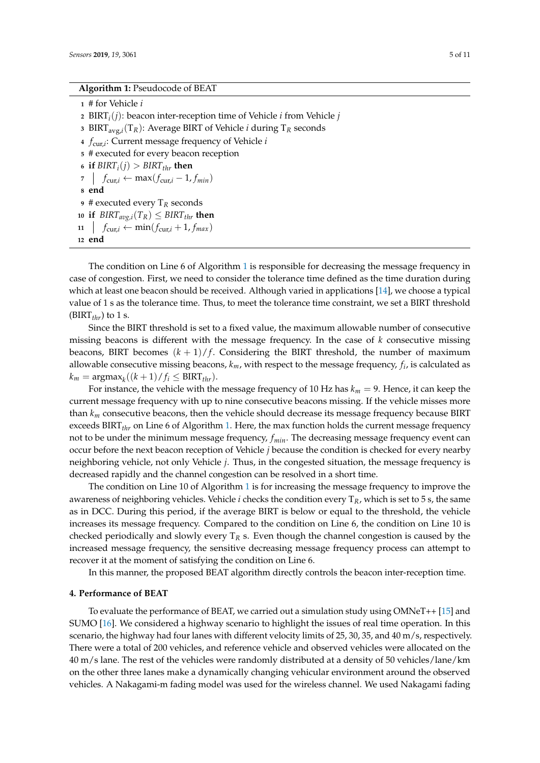## **Algorithm 1:** Pseudocode of BEAT

<span id="page-4-1"></span>

| 1 # for Vehicle i |
|-------------------|
|-------------------|

- **<sup>2</sup>** BIRT*i*(*j*): beacon inter-reception time of Vehicle *i* from Vehicle *j*
- **3** BIRT<sub>avg,*i*</sub>(T<sub>*R*</sub>): Average BIRT of Vehicle *i* during T<sub>*R*</sub> seconds
- **<sup>4</sup>** *f*cur,*<sup>i</sup>* : Current message frequency of Vehicle *i*
- **<sup>5</sup>** # executed for every beacon reception
- **6 if**  $BIRT_i(j) > BIRT_{thr}$  **then**
- **7**  $\vert f_{\text{cur},i} \leftarrow \max(f_{\text{cur},i} 1, f_{\text{min}})$
- **8 end**
- **<sup>9</sup>** # executed every T*<sup>R</sup>* seconds
- 10 **if**  $BIRT_{avg,i}(T_R) \leq BIRT_{thr}$  **then**
- $11$   $f_{\text{cur},i} \leftarrow \min(f_{\text{cur},i} + 1, f_{\text{max}})$
- **12 end**

The condition on Line 6 of Algorithm [1](#page-4-1) is responsible for decreasing the message frequency in case of congestion. First, we need to consider the tolerance time defined as the time duration during which at least one beacon should be received. Although varied in applications [\[14\]](#page-10-8), we choose a typical value of 1 s as the tolerance time. Thus, to meet the tolerance time constraint, we set a BIRT threshold (BIRT $_{thr}$ ) to 1 s.

Since the BIRT threshold is set to a fixed value, the maximum allowable number of consecutive missing beacons is different with the message frequency. In the case of *k* consecutive missing beacons, BIRT becomes  $(k + 1)/f$ . Considering the BIRT threshold, the number of maximum allowable consecutive missing beacons, *km*, with respect to the message frequency, *f<sup>i</sup>* , is calculated as  $k_m = \text{argmax}_k((k+1)/f_i \leq \text{BIRT}_{thr}).$ 

For instance, the vehicle with the message frequency of 10 Hz has  $k_m = 9$ . Hence, it can keep the current message frequency with up to nine consecutive beacons missing. If the vehicle misses more than  $k_m$  consecutive beacons, then the vehicle should decrease its message frequency because BIRT exceeds BIRT*thr* on Line 6 of Algorithm [1.](#page-4-1) Here, the max function holds the current message frequency not to be under the minimum message frequency, *fmin*. The decreasing message frequency event can occur before the next beacon reception of Vehicle *j* because the condition is checked for every nearby neighboring vehicle, not only Vehicle *j*. Thus, in the congested situation, the message frequency is decreased rapidly and the channel congestion can be resolved in a short time.

The condition on Line 10 of Algorithm [1](#page-4-1) is for increasing the message frequency to improve the awareness of neighboring vehicles. Vehicle *i* checks the condition every T*R*, which is set to 5 s, the same as in DCC. During this period, if the average BIRT is below or equal to the threshold, the vehicle increases its message frequency. Compared to the condition on Line 6, the condition on Line 10 is checked periodically and slowly every  $T_R$  s. Even though the channel congestion is caused by the increased message frequency, the sensitive decreasing message frequency process can attempt to recover it at the moment of satisfying the condition on Line 6.

In this manner, the proposed BEAT algorithm directly controls the beacon inter-reception time.

## <span id="page-4-0"></span>**4. Performance of BEAT**

To evaluate the performance of BEAT, we carried out a simulation study using OMNeT++ [\[15\]](#page-10-9) and SUMO [\[16\]](#page-10-10). We considered a highway scenario to highlight the issues of real time operation. In this scenario, the highway had four lanes with different velocity limits of 25, 30, 35, and 40 m/s, respectively. There were a total of 200 vehicles, and reference vehicle and observed vehicles were allocated on the 40 m/s lane. The rest of the vehicles were randomly distributed at a density of 50 vehicles/lane/km on the other three lanes make a dynamically changing vehicular environment around the observed vehicles. A Nakagami-m fading model was used for the wireless channel. We used Nakagami fading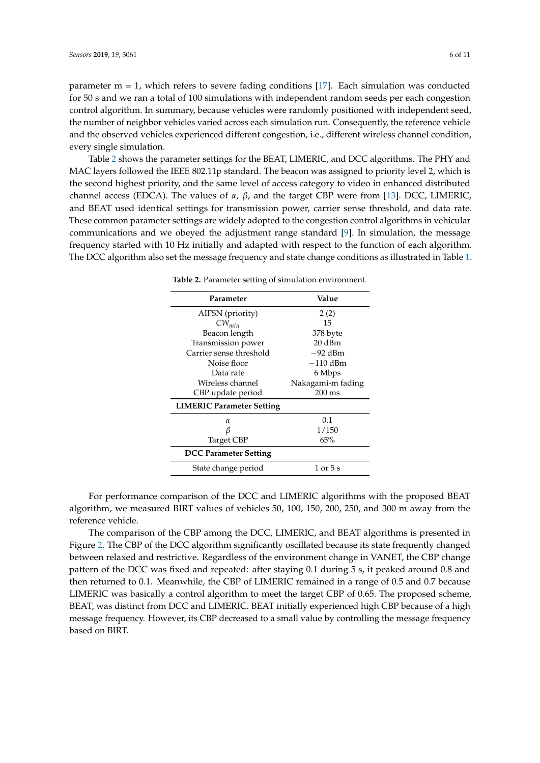parameter  $m = 1$ , which refers to severe fading conditions [\[17\]](#page-10-11). Each simulation was conducted for 50 s and we ran a total of 100 simulations with independent random seeds per each congestion control algorithm. In summary, because vehicles were randomly positioned with independent seed, the number of neighbor vehicles varied across each simulation run. Consequently, the reference vehicle and the observed vehicles experienced different congestion, i.e., different wireless channel condition, every single simulation.

Table [2](#page-5-0) shows the parameter settings for the BEAT, LIMERIC, and DCC algorithms. The PHY and MAC layers followed the IEEE 802.11p standard. The beacon was assigned to priority level 2, which is the second highest priority, and the same level of access category to video in enhanced distributed channel access (EDCA). The values of *α*, *β*, and the target CBP were from [\[13\]](#page-10-7). DCC, LIMERIC, and BEAT used identical settings for transmission power, carrier sense threshold, and data rate. These common parameter settings are widely adopted to the congestion control algorithms in vehicular communications and we obeyed the adjustment range standard [\[9\]](#page-10-5). In simulation, the message frequency started with 10 Hz initially and adapted with respect to the function of each algorithm. The DCC algorithm also set the message frequency and state change conditions as illustrated in Table [1.](#page-2-1)

<span id="page-5-0"></span>

| Parameter                        | Value             |  |
|----------------------------------|-------------------|--|
| AIFSN (priority)                 | 2(2)              |  |
| $CW_{min}$                       | 15                |  |
| Beacon length                    | 378 byte          |  |
| Transmission power               | $20$ dBm          |  |
| Carrier sense threshold          | $-92$ dBm         |  |
| Noise floor                      | $-110$ dBm        |  |
| Data rate                        | 6 Mbps            |  |
| Wireless channel                 | Nakagami-m fading |  |
| CBP update period                | $200 \text{ ms}$  |  |
| <b>LIMERIC Parameter Setting</b> |                   |  |
| α                                | 0.1               |  |
| В                                | 1/150             |  |
| Target CBP                       | 65%               |  |
| <b>DCC Parameter Setting</b>     |                   |  |
| State change period              | $1$ or $5s$       |  |

**Table 2.** Parameter setting of simulation environment.

For performance comparison of the DCC and LIMERIC algorithms with the proposed BEAT algorithm, we measured BIRT values of vehicles 50, 100, 150, 200, 250, and 300 m away from the reference vehicle.

The comparison of the CBP among the DCC, LIMERIC, and BEAT algorithms is presented in Figure [2.](#page-6-0) The CBP of the DCC algorithm significantly oscillated because its state frequently changed between relaxed and restrictive. Regardless of the environment change in VANET, the CBP change pattern of the DCC was fixed and repeated: after staying 0.1 during 5 s, it peaked around 0.8 and then returned to 0.1. Meanwhile, the CBP of LIMERIC remained in a range of 0.5 and 0.7 because LIMERIC was basically a control algorithm to meet the target CBP of 0.65. The proposed scheme, BEAT, was distinct from DCC and LIMERIC. BEAT initially experienced high CBP because of a high message frequency. However, its CBP decreased to a small value by controlling the message frequency based on BIRT.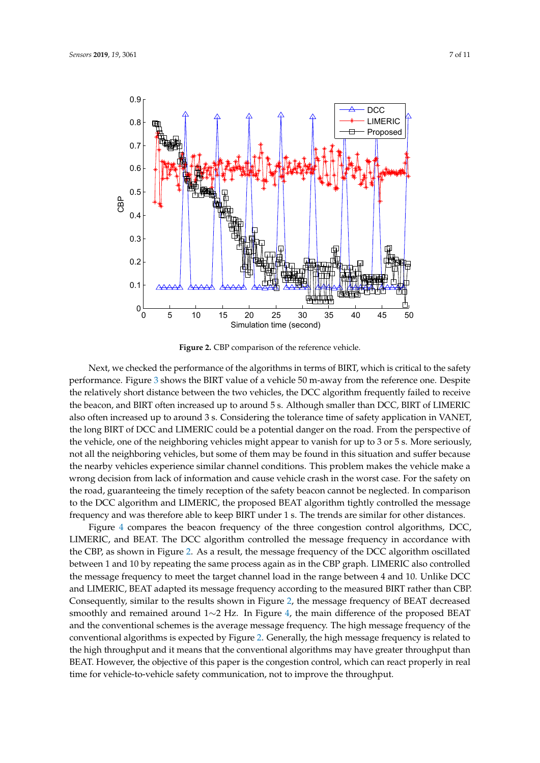<span id="page-6-0"></span>

**Figure 2.** CBP comparison of the reference vehicle.

Next, we checked the performance of the algorithms in terms of BIRT, which is critical to the safety performance. Figure [3](#page-7-0) shows the BIRT value of a vehicle 50 m-away from the reference one. Despite the relatively short distance between the two vehicles, the DCC algorithm frequently failed to receive the beacon, and BIRT often increased up to around 5 s. Although smaller than DCC, BIRT of LIMERIC also often increased up to around 3 s. Considering the tolerance time of safety application in VANET, the long BIRT of DCC and LIMERIC could be a potential danger on the road. From the perspective of the vehicle, one of the neighboring vehicles might appear to vanish for up to 3 or 5 s. More seriously, not all the neighboring vehicles, but some of them may be found in this situation and suffer because the nearby vehicles experience similar channel conditions. This problem makes the vehicle make a wrong decision from lack of information and cause vehicle crash in the worst case. For the safety on the road, guaranteeing the timely reception of the safety beacon cannot be neglected. In comparison to the DCC algorithm and LIMERIC, the proposed BEAT algorithm tightly controlled the message frequency and was therefore able to keep BIRT under 1 s. The trends are similar for other distances.

Figure [4](#page-7-1) compares the beacon frequency of the three congestion control algorithms, DCC, LIMERIC, and BEAT. The DCC algorithm controlled the message frequency in accordance with the CBP, as shown in Figure [2.](#page-6-0) As a result, the message frequency of the DCC algorithm oscillated between 1 and 10 by repeating the same process again as in the CBP graph. LIMERIC also controlled the message frequency to meet the target channel load in the range between 4 and 10. Unlike DCC and LIMERIC, BEAT adapted its message frequency according to the measured BIRT rather than CBP. Consequently, similar to the results shown in Figure [2,](#page-6-0) the message frequency of BEAT decreased smoothly and remained around 1∼2 Hz. In Figure [4,](#page-7-1) the main difference of the proposed BEAT and the conventional schemes is the average message frequency. The high message frequency of the conventional algorithms is expected by Figure [2.](#page-6-0) Generally, the high message frequency is related to the high throughput and it means that the conventional algorithms may have greater throughput than BEAT. However, the objective of this paper is the congestion control, which can react properly in real time for vehicle-to-vehicle safety communication, not to improve the throughput.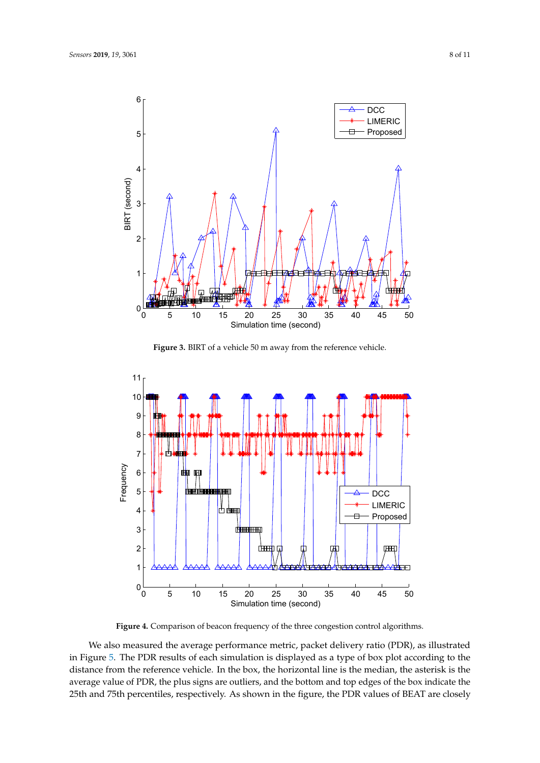<span id="page-7-0"></span>

**Figure 3.** BIRT of a vehicle 50 m away from the reference vehicle.

<span id="page-7-1"></span>

**Figure 4.** Comparison of beacon frequency of the three congestion control algorithms.

We also measured the average performance metric, packet delivery ratio (PDR), as illustrated in Figure [5.](#page-8-0) The PDR results of each simulation is displayed as a type of box plot according to the distance from the reference vehicle. In the box, the horizontal line is the median, the asterisk is the average value of PDR, the plus signs are outliers, and the bottom and top edges of the box indicate the 25th and 75th percentiles, respectively. As shown in the figure, the PDR values of BEAT are closely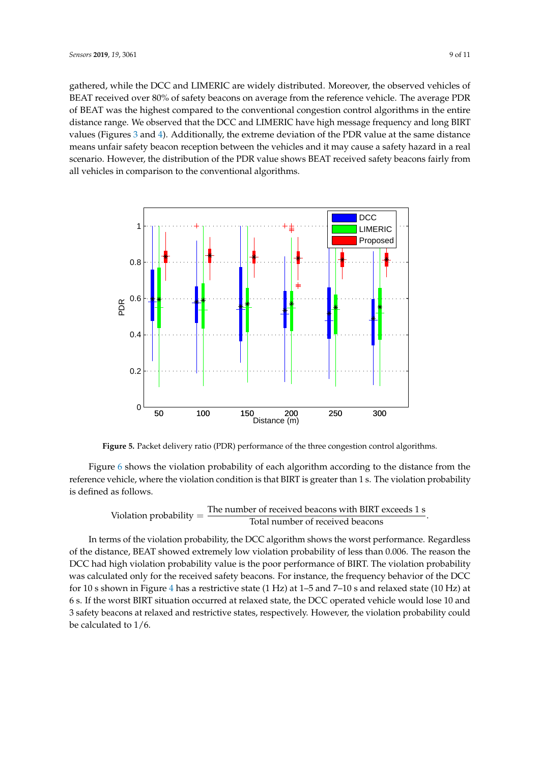gathered, while the DCC and LIMERIC are widely distributed. Moreover, the observed vehicles of BEAT received over 80% of safety beacons on average from the reference vehicle. The average PDR of BEAT was the highest compared to the conventional congestion control algorithms in the entire distance range. We observed that the DCC and LIMERIC have high message frequency and long BIRT values (Figures [3](#page-7-0) and [4\)](#page-7-1). Additionally, the extreme deviation of the PDR value at the same distance means unfair safety beacon reception between the vehicles and it may cause a safety hazard in a real scenario. However, the distribution of the PDR value shows BEAT received safety beacons fairly from all vehicles in comparison to the conventional algorithms.

<span id="page-8-0"></span>

**Figure 5.** Packet delivery ratio (PDR) performance of the three congestion control algorithms.

Figure [6](#page-9-5) shows the violation probability of each algorithm according to the distance from the reference vehicle, where the violation condition is that BIRT is greater than 1 s. The violation probability is defined as follows.

$$
Violation probability = \frac{\text{The number of received becomes with BIRT exceeds 1 s}}{\text{Total number of received becomes}}.
$$

In terms of the violation probability, the DCC algorithm shows the worst performance. Regardless of the distance, BEAT showed extremely low violation probability of less than 0.006. The reason the DCC had high violation probability value is the poor performance of BIRT. The violation probability was calculated only for the received safety beacons. For instance, the frequency behavior of the DCC for 10 s shown in Figure [4](#page-7-1) has a restrictive state (1 Hz) at 1–5 and 7–10 s and relaxed state (10 Hz) at 6 s. If the worst BIRT situation occurred at relaxed state, the DCC operated vehicle would lose 10 and 3 safety beacons at relaxed and restrictive states, respectively. However, the violation probability could be calculated to 1/6.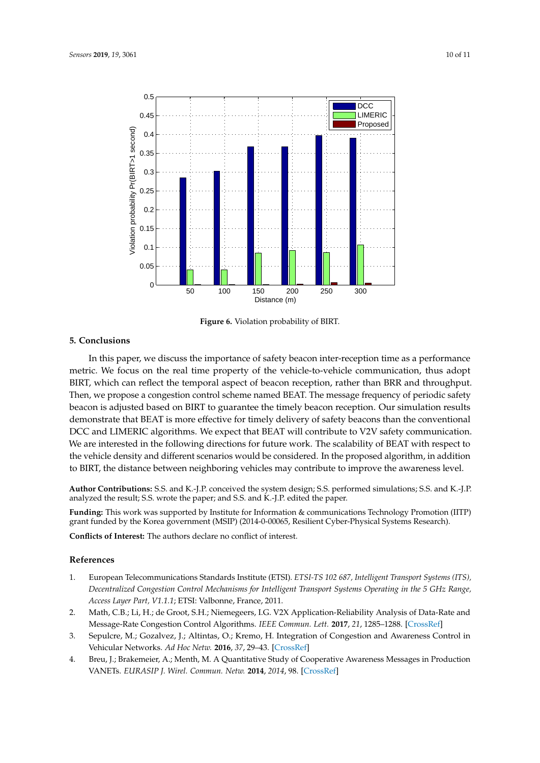<span id="page-9-5"></span>

**Figure 6.** Violation probability of BIRT.

## <span id="page-9-4"></span>**5. Conclusions**

In this paper, we discuss the importance of safety beacon inter-reception time as a performance metric. We focus on the real time property of the vehicle-to-vehicle communication, thus adopt BIRT, which can reflect the temporal aspect of beacon reception, rather than BRR and throughput. Then, we propose a congestion control scheme named BEAT. The message frequency of periodic safety beacon is adjusted based on BIRT to guarantee the timely beacon reception. Our simulation results demonstrate that BEAT is more effective for timely delivery of safety beacons than the conventional DCC and LIMERIC algorithms. We expect that BEAT will contribute to V2V safety communication. We are interested in the following directions for future work. The scalability of BEAT with respect to the vehicle density and different scenarios would be considered. In the proposed algorithm, in addition to BIRT, the distance between neighboring vehicles may contribute to improve the awareness level.

**Author Contributions:** S.S. and K.-J.P. conceived the system design; S.S. performed simulations; S.S. and K.-J.P. analyzed the result; S.S. wrote the paper; and S.S. and K.-J.P. edited the paper.

**Funding:** This work was supported by Institute for Information & communications Technology Promotion (IITP) grant funded by the Korea government (MSIP) (2014-0-00065, Resilient Cyber-Physical Systems Research).

**Conflicts of Interest:** The authors declare no conflict of interest.

## **References**

- <span id="page-9-0"></span>1. European Telecommunications Standards Institute (ETSI). *ETSI-TS 102 687, Intelligent Transport Systems (ITS), Decentralized Congestion Control Mechanisms for Intelligent Transport Systems Operating in the 5 GHz Range, Access Layer Part, V1.1.1*; ETSI: Valbonne, France, 2011.
- <span id="page-9-1"></span>2. Math, C.B.; Li, H.; de Groot, S.H.; Niemegeers, I.G. V2X Application-Reliability Analysis of Data-Rate and Message-Rate Congestion Control Algorithms. *IEEE Commun. Lett.* **2017**, *21*, 1285–1288. [\[CrossRef\]](http://dx.doi.org/10.1109/LCOMM.2017.2675899)
- <span id="page-9-3"></span>3. Sepulcre, M.; Gozalvez, J.; Altintas, O.; Kremo, H. Integration of Congestion and Awareness Control in Vehicular Networks. *Ad Hoc Netw.* **2016**, *37*, 29–43. [\[CrossRef\]](http://dx.doi.org/10.1016/j.adhoc.2015.09.010)
- <span id="page-9-2"></span>4. Breu, J.; Brakemeier, A.; Menth, M. A Quantitative Study of Cooperative Awareness Messages in Production VANETs. *EURASIP J. Wirel. Commun. Netw.* **2014**, *2014*, 98. [\[CrossRef\]](http://dx.doi.org/10.1186/1687-1499-2014-98)